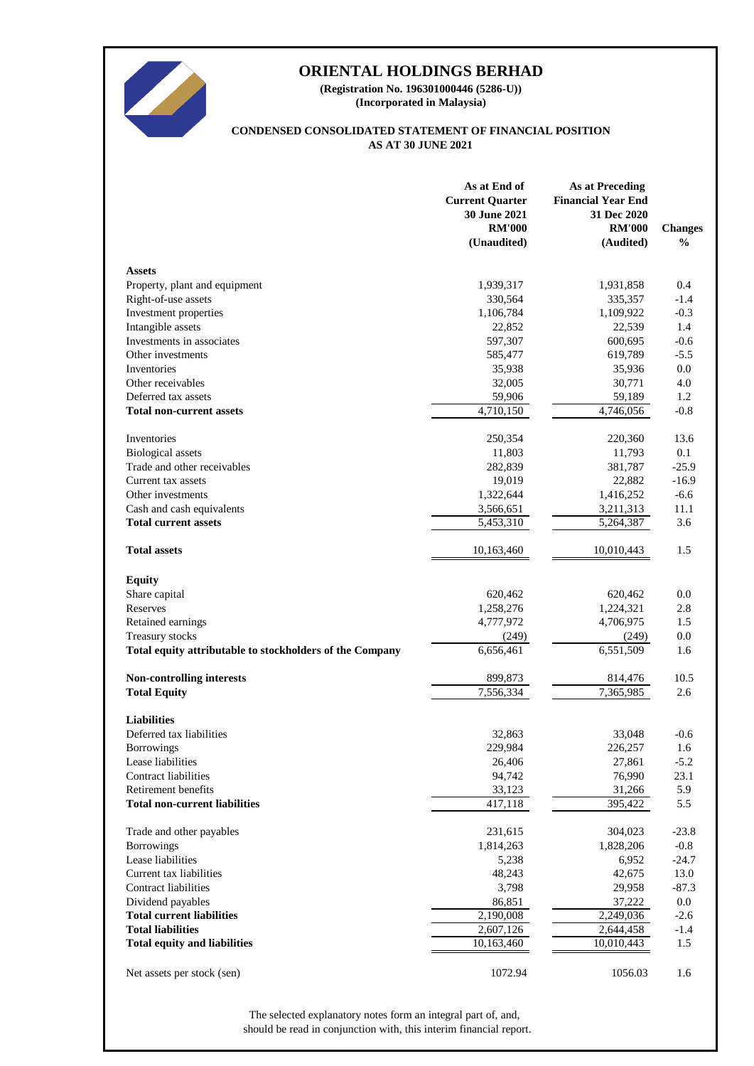

**(Incorporated in Malaysia) (Registration No. 196301000446 (5286-U))**

#### **AS AT 30 JUNE 2021 CONDENSED CONSOLIDATED STATEMENT OF FINANCIAL POSITION**

|                                                          | As at End of<br><b>Current Quarter</b><br>30 June 2021<br><b>RM'000</b><br>(Unaudited) | <b>As at Preceding</b><br><b>Financial Year End</b><br>31 Dec 2020<br><b>RM'000</b><br>(Audited) | <b>Changes</b><br>$\frac{0}{0}$ |
|----------------------------------------------------------|----------------------------------------------------------------------------------------|--------------------------------------------------------------------------------------------------|---------------------------------|
| <b>Assets</b>                                            |                                                                                        |                                                                                                  |                                 |
| Property, plant and equipment                            | 1,939,317                                                                              | 1,931,858                                                                                        | 0.4                             |
| Right-of-use assets                                      | 330,564                                                                                | 335,357                                                                                          | $-1.4$                          |
| Investment properties                                    | 1,106,784                                                                              | 1,109,922                                                                                        | $-0.3$                          |
| Intangible assets                                        | 22,852                                                                                 | 22,539                                                                                           | 1.4                             |
| Investments in associates                                | 597,307                                                                                | 600,695                                                                                          | $-0.6$                          |
| Other investments                                        | 585,477                                                                                | 619,789                                                                                          | $-5.5$                          |
| Inventories                                              | 35,938                                                                                 | 35,936                                                                                           | 0.0                             |
| Other receivables                                        | 32,005                                                                                 | 30,771                                                                                           | 4.0                             |
| Deferred tax assets                                      | 59,906                                                                                 | 59,189                                                                                           | 1.2                             |
| <b>Total non-current assets</b>                          | $\overline{4,710}, 150$                                                                | 4,746,056                                                                                        | $-0.8$                          |
| Inventories                                              | 250,354                                                                                | 220,360                                                                                          | 13.6                            |
| <b>Biological</b> assets                                 | 11,803                                                                                 | 11,793                                                                                           | 0.1                             |
| Trade and other receivables                              | 282,839                                                                                | 381,787                                                                                          | $-25.9$                         |
| Current tax assets                                       | 19,019                                                                                 | 22,882                                                                                           | $-16.9$                         |
| Other investments                                        | 1,322,644                                                                              | 1,416,252                                                                                        | $-6.6$                          |
| Cash and cash equivalents                                | 3,566,651                                                                              | 3,211,313                                                                                        | 11.1                            |
| <b>Total current assets</b>                              | 5,453,310                                                                              | 5,264,387                                                                                        | 3.6                             |
| <b>Total assets</b>                                      | 10,163,460                                                                             | 10,010,443                                                                                       | 1.5                             |
| <b>Equity</b>                                            |                                                                                        |                                                                                                  |                                 |
| Share capital                                            | 620,462                                                                                | 620,462                                                                                          | 0.0                             |
| Reserves                                                 | 1,258,276                                                                              | 1,224,321                                                                                        | 2.8                             |
| Retained earnings                                        | 4,777,972                                                                              | 4,706,975                                                                                        | 1.5                             |
| Treasury stocks                                          | (249)                                                                                  | (249)                                                                                            | 0.0                             |
| Total equity attributable to stockholders of the Company | 6,656,461                                                                              | 6,551,509                                                                                        | 1.6                             |
| <b>Non-controlling interests</b>                         | 899,873                                                                                | 814,476                                                                                          | 10.5                            |
| <b>Total Equity</b>                                      | 7,556,334                                                                              | 7,365,985                                                                                        | 2.6                             |
| <b>Liabilities</b>                                       |                                                                                        |                                                                                                  |                                 |
| Deferred tax liabilities                                 | 32,863                                                                                 | 33,048                                                                                           | $-0.6$                          |
| <b>Borrowings</b>                                        | 229,984                                                                                | 226,257                                                                                          | 1.6                             |
| Lease liabilities                                        | 26,406                                                                                 | 27,861                                                                                           | $-5.2$                          |
| <b>Contract liabilities</b>                              | 94,742                                                                                 | 76,990                                                                                           | 23.1                            |
| Retirement benefits                                      | 33,123                                                                                 | 31,266                                                                                           | 5.9                             |
| <b>Total non-current liabilities</b>                     | 417,118                                                                                | 395,422                                                                                          | 5.5                             |
| Trade and other payables                                 | 231,615                                                                                | 304,023                                                                                          | $-23.8$                         |
| <b>Borrowings</b>                                        | 1,814,263                                                                              | 1,828,206                                                                                        | $-0.8$                          |
| Lease liabilities                                        | 5,238                                                                                  | 6,952                                                                                            | $-24.7$                         |
| Current tax liabilities                                  | 48,243                                                                                 | 42,675                                                                                           | 13.0                            |
| <b>Contract liabilities</b>                              | 3,798                                                                                  | 29,958                                                                                           | $-87.3$                         |
| Dividend payables                                        | 86,851                                                                                 | 37,222                                                                                           | 0.0                             |
| <b>Total current liabilities</b>                         | 2,190,008                                                                              | 2,249,036                                                                                        | $-2.6$                          |
| <b>Total liabilities</b>                                 | 2,607,126                                                                              | 2,644,458                                                                                        | $-1.4$                          |
| <b>Total equity and liabilities</b>                      | 10,163,460                                                                             | 10,010,443                                                                                       | 1.5                             |
| Net assets per stock (sen)                               | 1072.94                                                                                | 1056.03                                                                                          | 1.6                             |

should be read in conjunction with, this interim financial report. The selected explanatory notes form an integral part of, and,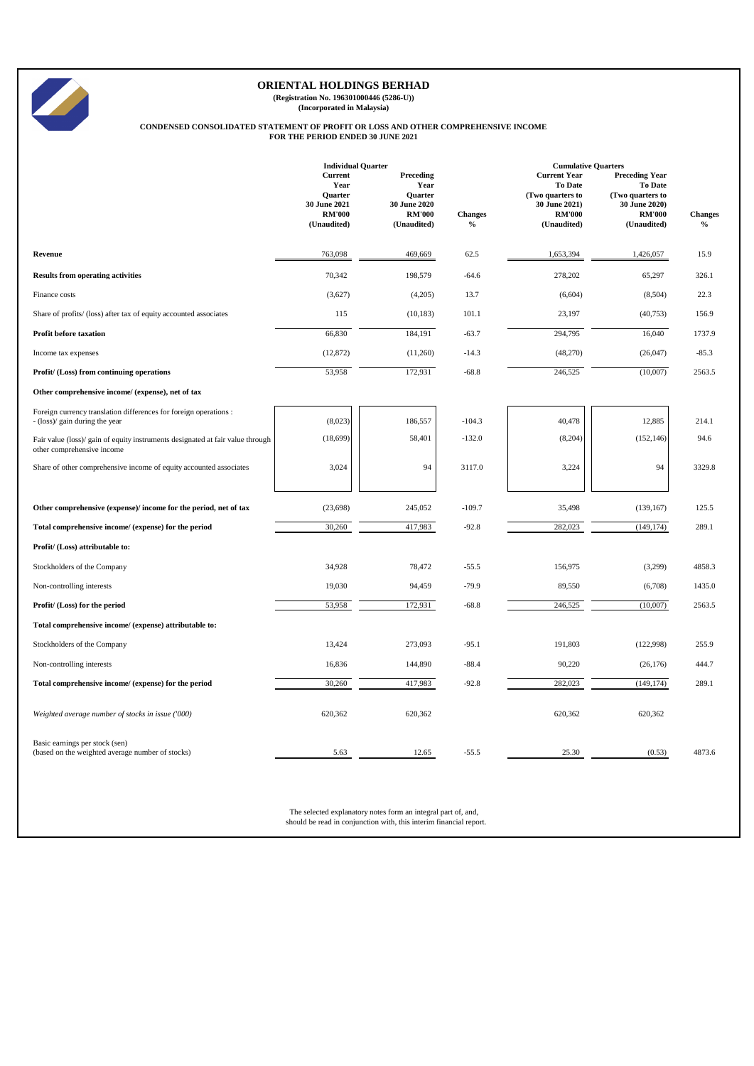

**(Registration No. 196301000446 (5286-U)) (Incorporated in Malaysia)**

# **CONDENSED CONSOLIDATED STATEMENT OF PROFIT OR LOSS AND OTHER COMPREHENSIVE INCOME FOR THE PERIOD ENDED 30 JUNE 2021**

|                                                                                                              | <b>Individual Quarter</b>                                                                |                                                                                     |                        | <b>Cumulative Quarters</b>                                                                                 |                                                                                                              |                        |
|--------------------------------------------------------------------------------------------------------------|------------------------------------------------------------------------------------------|-------------------------------------------------------------------------------------|------------------------|------------------------------------------------------------------------------------------------------------|--------------------------------------------------------------------------------------------------------------|------------------------|
|                                                                                                              | <b>Current</b><br>Year<br><b>Ouarter</b><br>30 June 2021<br><b>RM'000</b><br>(Unaudited) | Preceding<br>Year<br><b>Ouarter</b><br>30 June 2020<br><b>RM'000</b><br>(Unaudited) | <b>Changes</b><br>$\%$ | <b>Current Year</b><br><b>To Date</b><br>(Two quarters to<br>30 June 2021)<br><b>RM'000</b><br>(Unaudited) | <b>Preceding Year</b><br><b>To Date</b><br>(Two quarters to<br>30 June 2020)<br><b>RM'000</b><br>(Unaudited) | <b>Changes</b><br>$\%$ |
| Revenue                                                                                                      | 763,098                                                                                  | 469,669                                                                             | 62.5                   | 1,653,394                                                                                                  | 1,426,057                                                                                                    | 15.9                   |
| <b>Results from operating activities</b>                                                                     | 70,342                                                                                   | 198,579                                                                             | $-64.6$                | 278,202                                                                                                    | 65,297                                                                                                       | 326.1                  |
| Finance costs                                                                                                | (3,627)                                                                                  | (4,205)                                                                             | 13.7                   | (6,604)                                                                                                    | (8,504)                                                                                                      | 22.3                   |
| Share of profits/ (loss) after tax of equity accounted associates                                            | 115                                                                                      | (10, 183)                                                                           | 101.1                  | 23,197                                                                                                     | (40, 753)                                                                                                    | 156.9                  |
| <b>Profit before taxation</b>                                                                                | 66,830                                                                                   | 184,191                                                                             | $-63.7$                | 294,795                                                                                                    | 16,040                                                                                                       | 1737.9                 |
| Income tax expenses                                                                                          | (12, 872)                                                                                | (11,260)                                                                            | $-14.3$                | (48,270)                                                                                                   | (26, 047)                                                                                                    | $-85.3$                |
| Profit/ (Loss) from continuing operations                                                                    | 53,958                                                                                   | 172,931                                                                             | $-68.8$                | 246,525                                                                                                    | (10,007)                                                                                                     | 2563.5                 |
| Other comprehensive income/ (expense), net of tax                                                            |                                                                                          |                                                                                     |                        |                                                                                                            |                                                                                                              |                        |
| Foreign currency translation differences for foreign operations :<br>- (loss)/ gain during the year          | (8,023)                                                                                  | 186,557                                                                             | $-104.3$               | 40,478                                                                                                     | 12,885                                                                                                       | 214.1                  |
| Fair value (loss)/ gain of equity instruments designated at fair value through<br>other comprehensive income | (18, 699)                                                                                | 58,401                                                                              | $-132.0$               | (8,204)                                                                                                    | (152, 146)                                                                                                   | 94.6                   |
| Share of other comprehensive income of equity accounted associates                                           | 3,024                                                                                    | 94                                                                                  | 3117.0                 | 3,224                                                                                                      | 94                                                                                                           | 3329.8                 |
| Other comprehensive (expense)/ income for the period, net of tax                                             | (23, 698)                                                                                | 245,052                                                                             | $-109.7$               | 35,498                                                                                                     | (139, 167)                                                                                                   | 125.5                  |
| Total comprehensive income/ (expense) for the period                                                         | 30,260                                                                                   | 417,983                                                                             | $-92.8$                | 282,023                                                                                                    | (149, 174)                                                                                                   | 289.1                  |
| Profit/ (Loss) attributable to:                                                                              |                                                                                          |                                                                                     |                        |                                                                                                            |                                                                                                              |                        |
| Stockholders of the Company                                                                                  | 34,928                                                                                   | 78,472                                                                              | $-55.5$                | 156,975                                                                                                    | (3,299)                                                                                                      | 4858.3                 |
| Non-controlling interests                                                                                    | 19,030                                                                                   | 94,459                                                                              | $-79.9$                | 89,550                                                                                                     | (6,708)                                                                                                      | 1435.0                 |
| Profit/ (Loss) for the period                                                                                | 53,958                                                                                   | 172,931                                                                             | $-68.8$                | 246,525                                                                                                    | (10,007)                                                                                                     | 2563.5                 |
| Total comprehensive income/ (expense) attributable to:                                                       |                                                                                          |                                                                                     |                        |                                                                                                            |                                                                                                              |                        |
| Stockholders of the Company                                                                                  | 13,424                                                                                   | 273,093                                                                             | $-95.1$                | 191,803                                                                                                    | (122,998)                                                                                                    | 255.9                  |
| Non-controlling interests                                                                                    | 16,836                                                                                   | 144,890                                                                             | $-88.4$                | 90,220                                                                                                     | (26, 176)                                                                                                    | 444.7                  |
| Total comprehensive income/ (expense) for the period                                                         | 30,260                                                                                   | 417,983                                                                             | $-92.8$                | 282,023                                                                                                    | (149, 174)                                                                                                   | 289.1                  |
| Weighted average number of stocks in issue ('000)                                                            | 620,362                                                                                  | 620,362                                                                             |                        | 620,362                                                                                                    | 620,362                                                                                                      |                        |
| Basic earnings per stock (sen)<br>(based on the weighted average number of stocks)                           | 5.63                                                                                     | 12.65                                                                               | $-55.5$                | 25.30                                                                                                      | (0.53)                                                                                                       | 4873.6                 |

The selected explanatory notes form an integral part of, and, should be read in conjunction with, this interim financial report.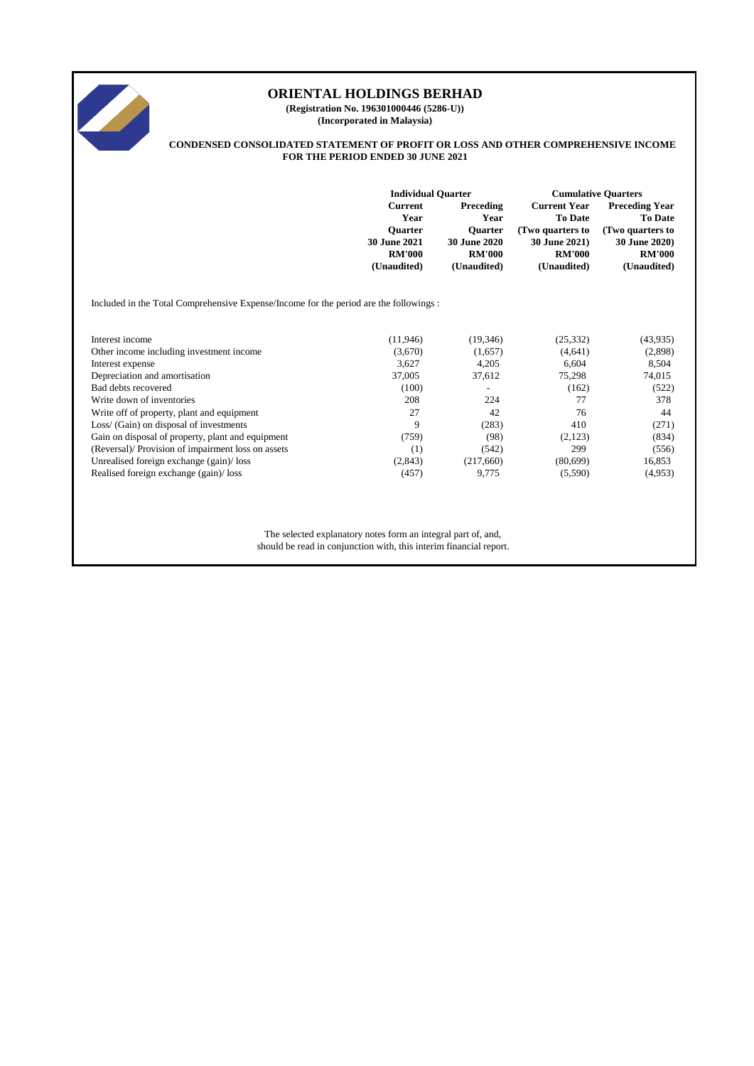

**(Registration No. 196301000446 (5286-U)) (Incorporated in Malaysia)**

#### **CONDENSED CONSOLIDATED STATEMENT OF PROFIT OR LOSS AND OTHER COMPREHENSIVE INCOME FOR THE PERIOD ENDED 30 JUNE 2021**

|                                                                                        | <b>Individual Quarter</b>                                                                |                                                                                     | <b>Cumulative Quarters</b>                                                                                 |                                                                                                                     |  |
|----------------------------------------------------------------------------------------|------------------------------------------------------------------------------------------|-------------------------------------------------------------------------------------|------------------------------------------------------------------------------------------------------------|---------------------------------------------------------------------------------------------------------------------|--|
|                                                                                        | <b>Current</b><br>Year<br><b>Ouarter</b><br>30 June 2021<br><b>RM'000</b><br>(Unaudited) | Preceding<br>Year<br><b>Ouarter</b><br>30 June 2020<br><b>RM'000</b><br>(Unaudited) | <b>Current Year</b><br><b>To Date</b><br>(Two quarters to<br>30 June 2021)<br><b>RM'000</b><br>(Unaudited) | <b>Preceding Year</b><br><b>To Date</b><br>(Two quarters to<br><b>30 June 2020)</b><br><b>RM'000</b><br>(Unaudited) |  |
| Included in the Total Comprehensive Expense/Income for the period are the followings : |                                                                                          |                                                                                     |                                                                                                            |                                                                                                                     |  |
| Interest income                                                                        | (11,946)                                                                                 | (19,346)                                                                            | (25, 332)                                                                                                  | (43, 935)                                                                                                           |  |
| Other income including investment income                                               | (3,670)                                                                                  | (1,657)                                                                             | (4,641)                                                                                                    | (2,898)                                                                                                             |  |
| Interest expense                                                                       | 3,627                                                                                    | 4,205                                                                               | 6,604                                                                                                      | 8,504                                                                                                               |  |
| Depreciation and amortisation                                                          | 37,005                                                                                   | 37,612                                                                              | 75,298                                                                                                     | 74,015                                                                                                              |  |
| Bad debts recovered                                                                    | (100)                                                                                    | $\overline{\phantom{a}}$                                                            | (162)                                                                                                      | (522)                                                                                                               |  |
| Write down of inventories                                                              | 208                                                                                      | 224                                                                                 | 77                                                                                                         | 378                                                                                                                 |  |
| Write off of property, plant and equipment                                             | 27                                                                                       | 42                                                                                  | 76                                                                                                         | 44                                                                                                                  |  |
| Loss/ (Gain) on disposal of investments                                                | 9                                                                                        | (283)                                                                               | 410                                                                                                        | (271)                                                                                                               |  |
| Gain on disposal of property, plant and equipment                                      | (759)                                                                                    | (98)                                                                                | (2,123)                                                                                                    | (834)                                                                                                               |  |
| (Reversal)/ Provision of impairment loss on assets                                     | (1)                                                                                      | (542)                                                                               | 299                                                                                                        | (556)                                                                                                               |  |
| Unrealised foreign exchange (gain)/loss                                                | (2,843)                                                                                  | (217,660)                                                                           | (80,699)                                                                                                   | 16,853                                                                                                              |  |
| Realised foreign exchange (gain)/ loss                                                 | (457)                                                                                    | 9,775                                                                               | (5,590)                                                                                                    | (4,953)                                                                                                             |  |

The selected explanatory notes form an integral part of, and, should be read in conjunction with, this interim financial report.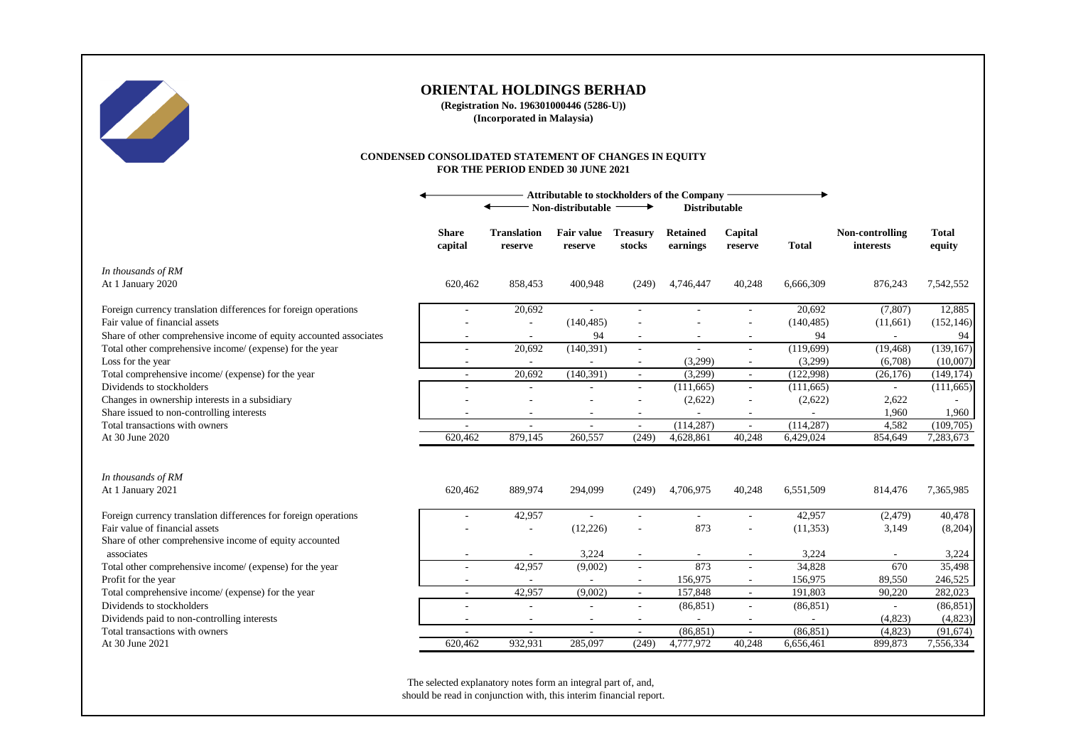

**(Registration No. 196301000446 (5286-U)) (Incorporated in Malaysia)**

#### **CONDENSED CONSOLIDATED STATEMENT OF CHANGES IN EQUITY FOR THE PERIOD ENDED 30 JUNE 2021**

|                                                                    | <b>Attributable to stockholders of the Company</b><br>Non-distributable<br><b>Distributable</b> |                               |                              |                           |                             |                          |                          |                              |                        |
|--------------------------------------------------------------------|-------------------------------------------------------------------------------------------------|-------------------------------|------------------------------|---------------------------|-----------------------------|--------------------------|--------------------------|------------------------------|------------------------|
|                                                                    | <b>Share</b><br>capital                                                                         | <b>Translation</b><br>reserve | <b>Fair value</b><br>reserve | <b>Treasury</b><br>stocks | <b>Retained</b><br>earnings | Capital<br>reserve       | <b>Total</b>             | Non-controlling<br>interests | <b>Total</b><br>equity |
| In thousands of RM                                                 | 620,462                                                                                         | 858,453                       | 400,948                      | (249)                     | 4,746,447                   | 40,248                   | 6,666,309                | 876,243                      | 7,542,552              |
| At 1 January 2020                                                  |                                                                                                 |                               |                              |                           |                             |                          |                          |                              |                        |
| Foreign currency translation differences for foreign operations    |                                                                                                 | 20,692                        |                              | ÷.                        |                             |                          | 20,692                   | (7, 807)                     | 12,885                 |
| Fair value of financial assets                                     |                                                                                                 |                               | (140, 485)                   | $\overline{\phantom{a}}$  |                             |                          | (140, 485)               | (11,661)                     | (152, 146)             |
| Share of other comprehensive income of equity accounted associates |                                                                                                 |                               | 94                           |                           |                             |                          | 94                       |                              | 94                     |
| Total other comprehensive income/ (expense) for the year           |                                                                                                 | 20,692                        | (140, 391)                   | $\sim$                    |                             | ٠                        | (119,699)                | (19, 468)                    | (139, 167)             |
| Loss for the year                                                  |                                                                                                 |                               |                              | $\overline{\phantom{a}}$  | (3,299)                     | $\overline{\phantom{a}}$ | (3,299)                  | (6,708)                      | (10,007)               |
| Total comprehensive income/ (expense) for the year                 | $\overline{\phantom{a}}$                                                                        | 20,692                        | (140, 391)                   | $\blacksquare$            | (3,299)                     | $\sim$                   | (122,998)                | (26, 176)                    | (149, 174)             |
| Dividends to stockholders                                          |                                                                                                 |                               |                              | $\sim$                    | (111, 665)                  |                          | (111, 665)               | $\sim$                       | (111, 665)             |
| Changes in ownership interests in a subsidiary                     |                                                                                                 |                               |                              | $\overline{\phantom{a}}$  | (2,622)                     | $\overline{a}$           | (2,622)                  | 2,622                        |                        |
| Share issued to non-controlling interests                          |                                                                                                 | $\overline{\phantom{a}}$      | $\sim$                       | $\sim$                    |                             | $\overline{\phantom{a}}$ |                          | 1,960                        | 1,960                  |
| Total transactions with owners                                     | $\overline{\phantom{a}}$                                                                        | $\sim$                        | $\sim$                       | $\sim$                    | (114, 287)                  | $\overline{\phantom{a}}$ | (114, 287)               | 4,582                        | (109,705)              |
| At 30 June 2020                                                    | 620,462                                                                                         | 879,145                       | 260,557                      | (249)                     | 4,628,861                   | 40,248                   | 6,429,024                | 854,649                      | 7,283,673              |
| In thousands of RM                                                 |                                                                                                 |                               |                              |                           |                             |                          |                          |                              |                        |
| At 1 January 2021                                                  | 620,462                                                                                         | 889,974                       | 294,099                      | (249)                     | 4,706,975                   | 40,248                   | 6,551,509                | 814,476                      | 7,365,985              |
| Foreign currency translation differences for foreign operations    |                                                                                                 | 42,957                        |                              | $\overline{\phantom{a}}$  |                             | ä,                       | 42,957                   | (2, 479)                     | 40,478                 |
| Fair value of financial assets                                     |                                                                                                 |                               | (12, 226)                    | $\sim$                    | 873                         |                          | (11, 353)                | 3,149                        | (8,204)                |
| Share of other comprehensive income of equity accounted            |                                                                                                 |                               |                              |                           |                             |                          |                          |                              |                        |
| associates                                                         |                                                                                                 |                               | 3,224                        | $\sim$                    |                             |                          | 3,224                    |                              | 3,224                  |
| Total other comprehensive income/ (expense) for the year           |                                                                                                 | 42,957                        | (9,002)                      | $\overline{\phantom{a}}$  | 873                         |                          | 34,828                   | 670                          | 35,498                 |
| Profit for the year                                                |                                                                                                 |                               |                              | $\sim$                    | 156,975                     |                          | 156,975                  | 89,550                       | 246,525                |
| Total comprehensive income/ (expense) for the year                 |                                                                                                 | 42,957                        | (9,002)                      | $\sim$                    | 157,848                     | ÷.                       | 191,803                  | 90,220                       | 282,023                |
| Dividends to stockholders                                          |                                                                                                 | $\overline{\phantom{a}}$      |                              | ٠                         | (86, 851)                   | $\overline{a}$           | (86, 851)                |                              | (86, 851)              |
| Dividends paid to non-controlling interests                        |                                                                                                 | $\overline{\phantom{a}}$      | $\overline{\phantom{a}}$     | $\overline{\phantom{a}}$  | $\overline{\phantom{a}}$    | $\overline{\phantom{a}}$ | $\overline{\phantom{a}}$ | (4,823)                      | (4,823)                |
| Total transactions with owners                                     | $\overline{\phantom{a}}$                                                                        | $\sim$                        | $\sim$                       | $\sim$                    | (86, 851)                   | $\overline{\phantom{a}}$ | (86, 851)                | (4,823)                      | (91, 674)              |
| At 30 June 2021                                                    | 620,462                                                                                         | 932,931                       | 285.097                      | (249)                     | 4,777,972                   | 40,248                   | 6,656,461                | 899,873                      | 7,556,334              |

The selected explanatory notes form an integral part of, and, should be read in conjunction with, this interim financial report.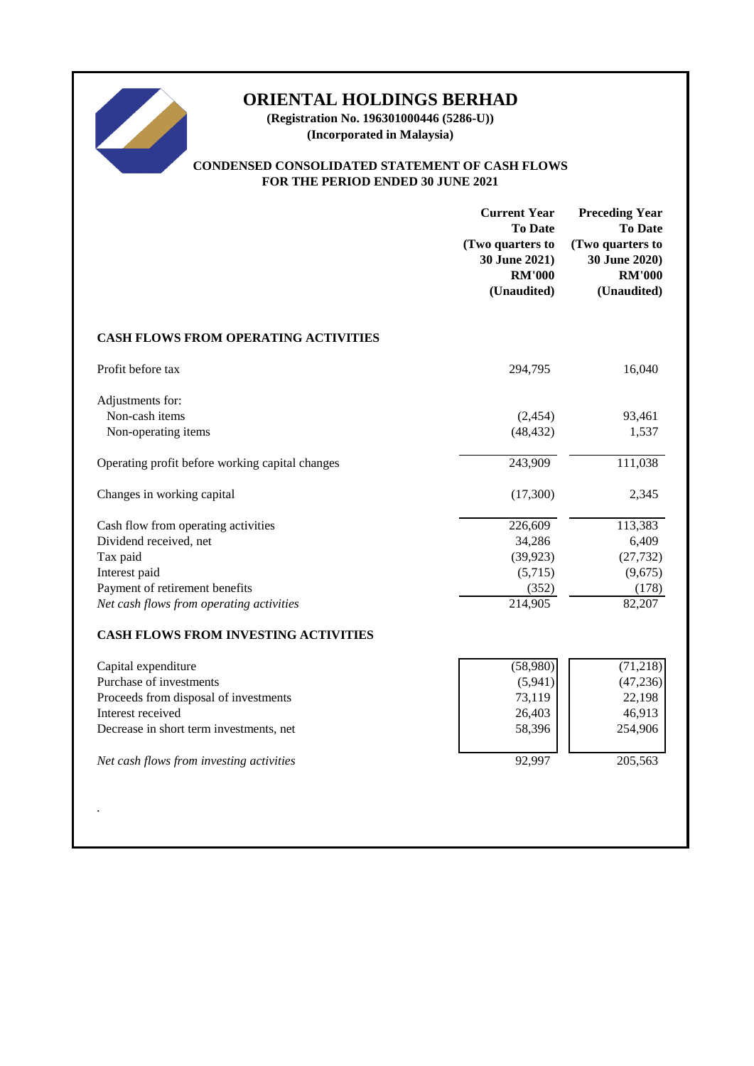

**(Registration No. 196301000446 (5286-U)) (Incorporated in Malaysia)**

## **CONDENSED CONSOLIDATED STATEMENT OF CASH FLOWS FOR THE PERIOD ENDED 30 JUNE 2021**

|                                                                                                                                                                                                     | <b>Current Year</b><br><b>To Date</b><br>(Two quarters to<br>30 June 2021)<br><b>RM'000</b><br>(Unaudited) | <b>Preceding Year</b><br><b>To Date</b><br>(Two quarters to<br>30 June 2020)<br><b>RM'000</b><br>(Unaudited) |
|-----------------------------------------------------------------------------------------------------------------------------------------------------------------------------------------------------|------------------------------------------------------------------------------------------------------------|--------------------------------------------------------------------------------------------------------------|
| CASH FLOWS FROM OPERATING ACTIVITIES                                                                                                                                                                |                                                                                                            |                                                                                                              |
| Profit before tax                                                                                                                                                                                   | 294,795                                                                                                    | 16,040                                                                                                       |
| Adjustments for:<br>Non-cash items<br>Non-operating items                                                                                                                                           | (2, 454)<br>(48, 432)                                                                                      | 93,461<br>1,537                                                                                              |
| Operating profit before working capital changes                                                                                                                                                     | 243,909                                                                                                    | 111,038                                                                                                      |
| Changes in working capital                                                                                                                                                                          | (17,300)                                                                                                   | 2,345                                                                                                        |
| Cash flow from operating activities<br>Dividend received, net<br>Tax paid<br>Interest paid<br>Payment of retirement benefits<br>Net cash flows from operating activities                            | 226,609<br>34,286<br>(39, 923)<br>(5,715)<br>(352)<br>214,905                                              | 113,383<br>6,409<br>(27, 732)<br>(9,675)<br>(178)<br>82,207                                                  |
| <b>CASH FLOWS FROM INVESTING ACTIVITIES</b>                                                                                                                                                         |                                                                                                            |                                                                                                              |
| Capital expenditure<br>Purchase of investments<br>Proceeds from disposal of investments<br>Interest received<br>Decrease in short term investments, net<br>Net cash flows from investing activities | (58,980)<br>(5,941)<br>73,119<br>26,403<br>58,396<br>92,997                                                | (71, 218)<br>(47, 236)<br>22,198<br>46,913<br>254,906<br>205,563                                             |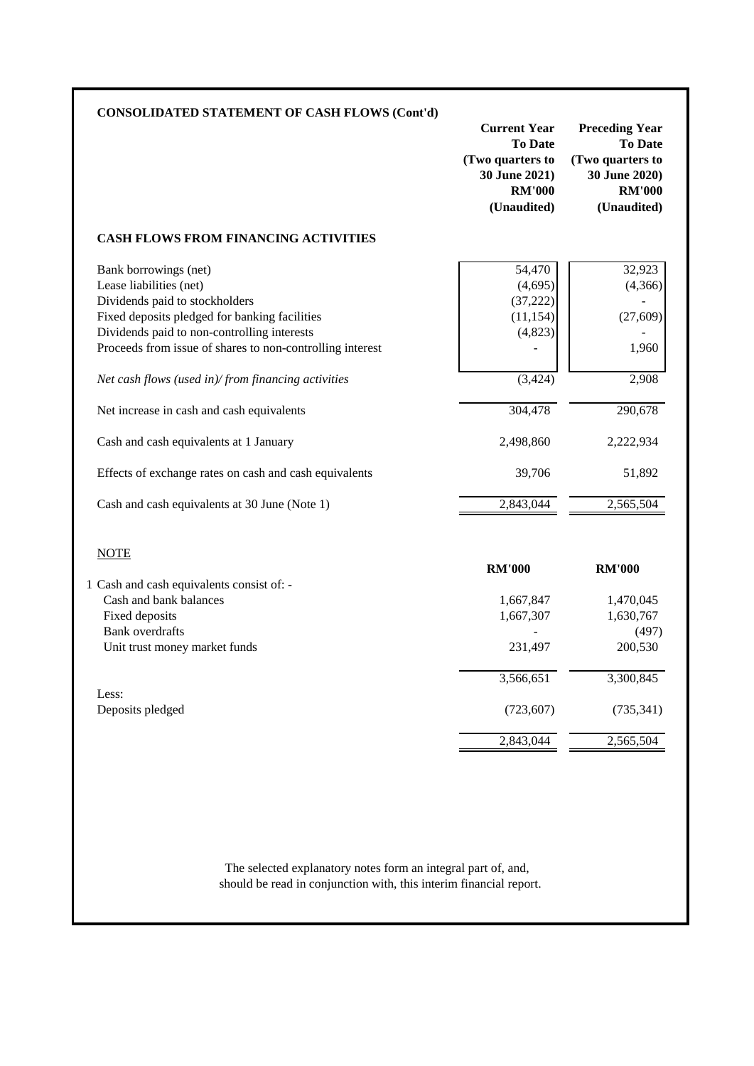| <b>CONSOLIDATED STATEMENT OF CASH FLOWS (Cont'd)</b>                                                                                                                                                                                                                                                  | <b>Current Year</b><br><b>To Date</b><br>(Two quarters to<br>30 June 2021)<br><b>RM'000</b><br>(Unaudited) | <b>Preceding Year</b><br><b>To Date</b><br>(Two quarters to<br>30 June 2020)<br><b>RM'000</b><br>(Unaudited) |
|-------------------------------------------------------------------------------------------------------------------------------------------------------------------------------------------------------------------------------------------------------------------------------------------------------|------------------------------------------------------------------------------------------------------------|--------------------------------------------------------------------------------------------------------------|
| <b>CASH FLOWS FROM FINANCING ACTIVITIES</b>                                                                                                                                                                                                                                                           |                                                                                                            |                                                                                                              |
| Bank borrowings (net)<br>Lease liabilities (net)<br>Dividends paid to stockholders<br>Fixed deposits pledged for banking facilities<br>Dividends paid to non-controlling interests<br>Proceeds from issue of shares to non-controlling interest<br>Net cash flows (used in)/from financing activities | 54,470<br>(4,695)<br>(37, 222)<br>(11, 154)<br>(4,823)<br>(3, 424)                                         | 32,923<br>(4,366)<br>(27, 609)<br>1,960<br>2,908                                                             |
| Net increase in cash and cash equivalents                                                                                                                                                                                                                                                             | 304,478                                                                                                    | 290,678                                                                                                      |
| Cash and cash equivalents at 1 January                                                                                                                                                                                                                                                                | 2,498,860                                                                                                  | 2,222,934                                                                                                    |
| Effects of exchange rates on cash and cash equivalents                                                                                                                                                                                                                                                | 39,706                                                                                                     | 51,892                                                                                                       |
| Cash and cash equivalents at 30 June (Note 1)                                                                                                                                                                                                                                                         | 2,843,044                                                                                                  | 2,565,504                                                                                                    |
| <b>NOTE</b><br>1 Cash and cash equivalents consist of: -                                                                                                                                                                                                                                              | <b>RM'000</b>                                                                                              | <b>RM'000</b>                                                                                                |
| Cash and bank balances<br>Fixed deposits                                                                                                                                                                                                                                                              | 1,667,847<br>1,667,307                                                                                     | 1,470,045<br>1,630,767                                                                                       |
| <b>Bank</b> overdrafts<br>Unit trust money market funds                                                                                                                                                                                                                                               | 231,497                                                                                                    | (497)<br>200,530                                                                                             |
|                                                                                                                                                                                                                                                                                                       | 3,566,651                                                                                                  | 3,300,845                                                                                                    |
| Less:                                                                                                                                                                                                                                                                                                 | (723, 607)                                                                                                 | (735, 341)                                                                                                   |
| Deposits pledged                                                                                                                                                                                                                                                                                      |                                                                                                            |                                                                                                              |

should be read in conjunction with, this interim financial report.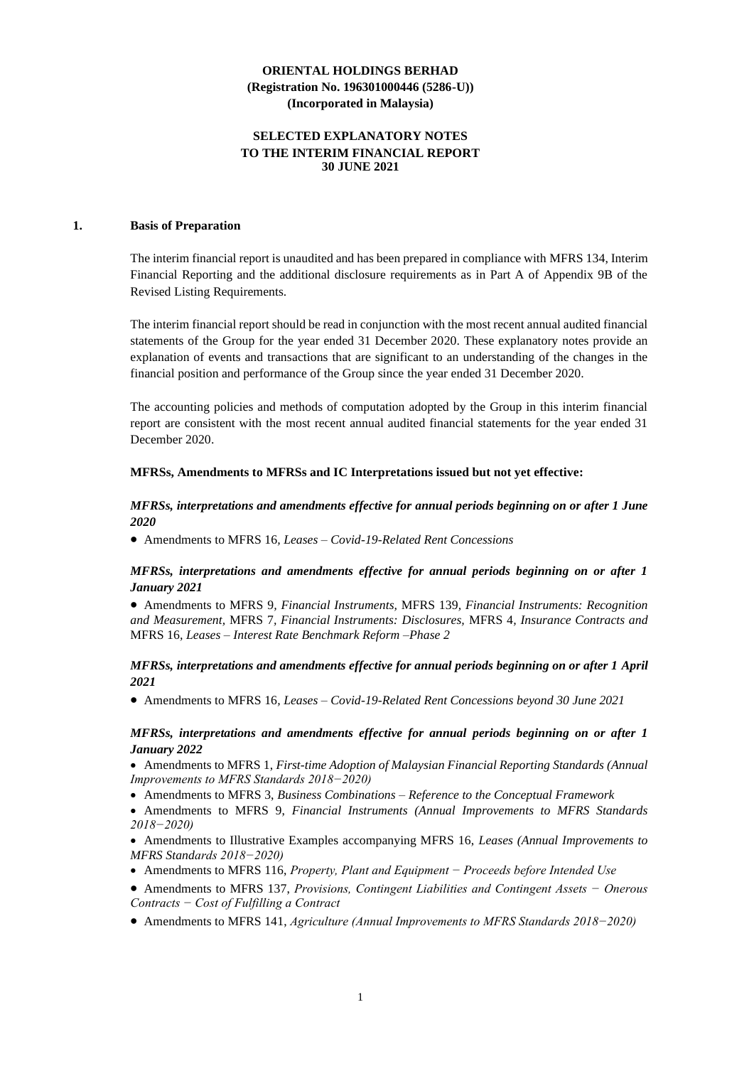## **SELECTED EXPLANATORY NOTES TO THE INTERIM FINANCIAL REPORT 30 JUNE 2021**

#### **1. Basis of Preparation**

The interim financial report is unaudited and has been prepared in compliance with MFRS 134, Interim Financial Reporting and the additional disclosure requirements as in Part A of Appendix 9B of the Revised Listing Requirements.

The interim financial report should be read in conjunction with the most recent annual audited financial statements of the Group for the year ended 31 December 2020. These explanatory notes provide an explanation of events and transactions that are significant to an understanding of the changes in the financial position and performance of the Group since the year ended 31 December 2020.

The accounting policies and methods of computation adopted by the Group in this interim financial report are consistent with the most recent annual audited financial statements for the year ended 31 December 2020.

#### **MFRSs, Amendments to MFRSs and IC Interpretations issued but not yet effective:**

## *MFRSs, interpretations and amendments effective for annual periods beginning on or after 1 June 2020*

• Amendments to MFRS 16*, Leases – Covid-19-Related Rent Concessions*

#### *MFRSs, interpretations and amendments effective for annual periods beginning on or after 1 January 2021*

• Amendments to MFRS 9*, Financial Instruments,* MFRS 139*, Financial Instruments: Recognition and Measurement,* MFRS 7*, Financial Instruments: Disclosures,* MFRS 4*, Insurance Contracts and*  MFRS 16*, Leases – Interest Rate Benchmark Reform –Phase 2*

#### *MFRSs, interpretations and amendments effective for annual periods beginning on or after 1 April 2021*

• Amendments to MFRS 16*, Leases – Covid-19-Related Rent Concessions beyond 30 June 2021*

#### *MFRSs, interpretations and amendments effective for annual periods beginning on or after 1 January 2022*

• Amendments to MFRS 1, *First-time Adoption of Malaysian Financial Reporting Standards (Annual Improvements to MFRS Standards 2018−2020)*

- Amendments to MFRS 3, *Business Combinations – Reference to the Conceptual Framework*
- Amendments to MFRS 9, *Financial Instruments (Annual Improvements to MFRS Standards 2018−2020)*
- Amendments to Illustrative Examples accompanying MFRS 16, *Leases (Annual Improvements to MFRS Standards 2018−2020)*
- Amendments to MFRS 116, *Property, Plant and Equipment − Proceeds before Intended Use*
- Amendments to MFRS 137, *Provisions, Contingent Liabilities and Contingent Assets − Onerous Contracts − Cost of Fulfilling a Contract*
- Amendments to MFRS 141, *Agriculture (Annual Improvements to MFRS Standards 2018−2020)*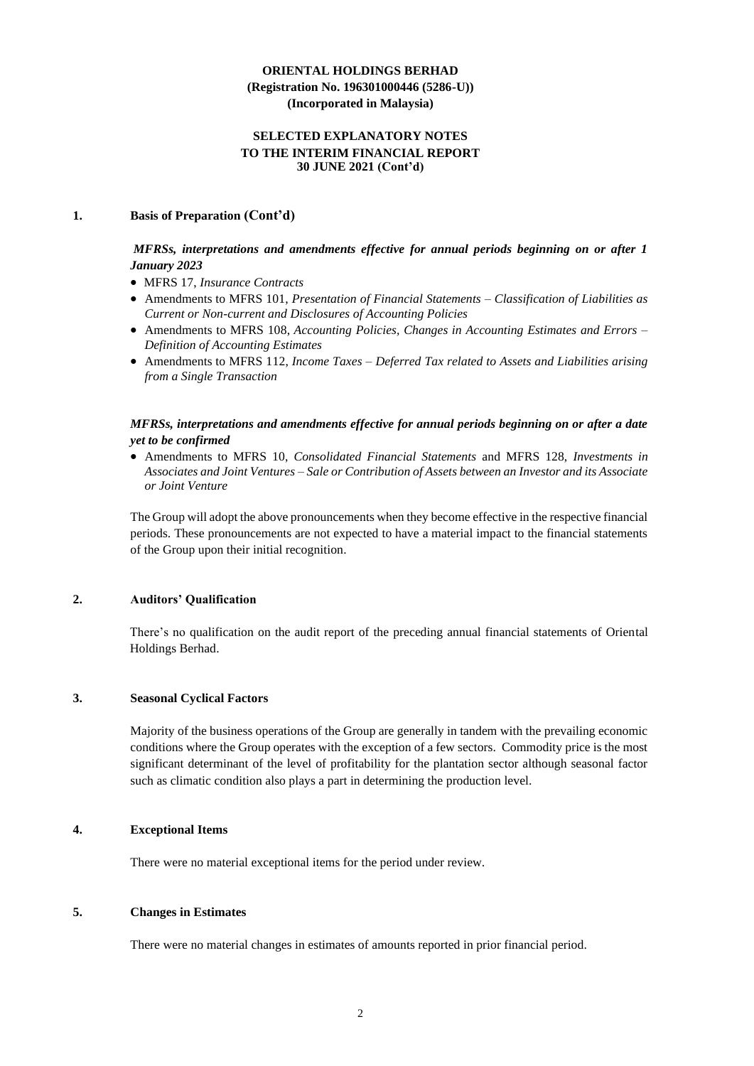## **SELECTED EXPLANATORY NOTES TO THE INTERIM FINANCIAL REPORT 30 JUNE 2021 (Cont'd)**

#### **1. Basis of Preparation (Cont'd)**

## *MFRSs, interpretations and amendments effective for annual periods beginning on or after 1 January 2023*

- MFRS 17, *Insurance Contracts*
- Amendments to MFRS 101, *Presentation of Financial Statements – Classification of Liabilities as Current or Non-current and Disclosures of Accounting Policies*
- Amendments to MFRS 108, *Accounting Policies, Changes in Accounting Estimates and Errors – Definition of Accounting Estimates*
- Amendments to MFRS 112, *Income Taxes – Deferred Tax related to Assets and Liabilities arising from a Single Transaction*

## *MFRSs, interpretations and amendments effective for annual periods beginning on or after a date yet to be confirmed*

• Amendments to MFRS 10, *Consolidated Financial Statements* and MFRS 128, *Investments in Associates and Joint Ventures – Sale or Contribution of Assets between an Investor and its Associate or Joint Venture*

The Group will adopt the above pronouncements when they become effective in the respective financial periods. These pronouncements are not expected to have a material impact to the financial statements of the Group upon their initial recognition.

#### **2. Auditors' Qualification**

There's no qualification on the audit report of the preceding annual financial statements of Oriental Holdings Berhad.

#### **3. Seasonal Cyclical Factors**

Majority of the business operations of the Group are generally in tandem with the prevailing economic conditions where the Group operates with the exception of a few sectors. Commodity price is the most significant determinant of the level of profitability for the plantation sector although seasonal factor such as climatic condition also plays a part in determining the production level.

#### **4. Exceptional Items**

There were no material exceptional items for the period under review.

## **5. Changes in Estimates**

There were no material changes in estimates of amounts reported in prior financial period.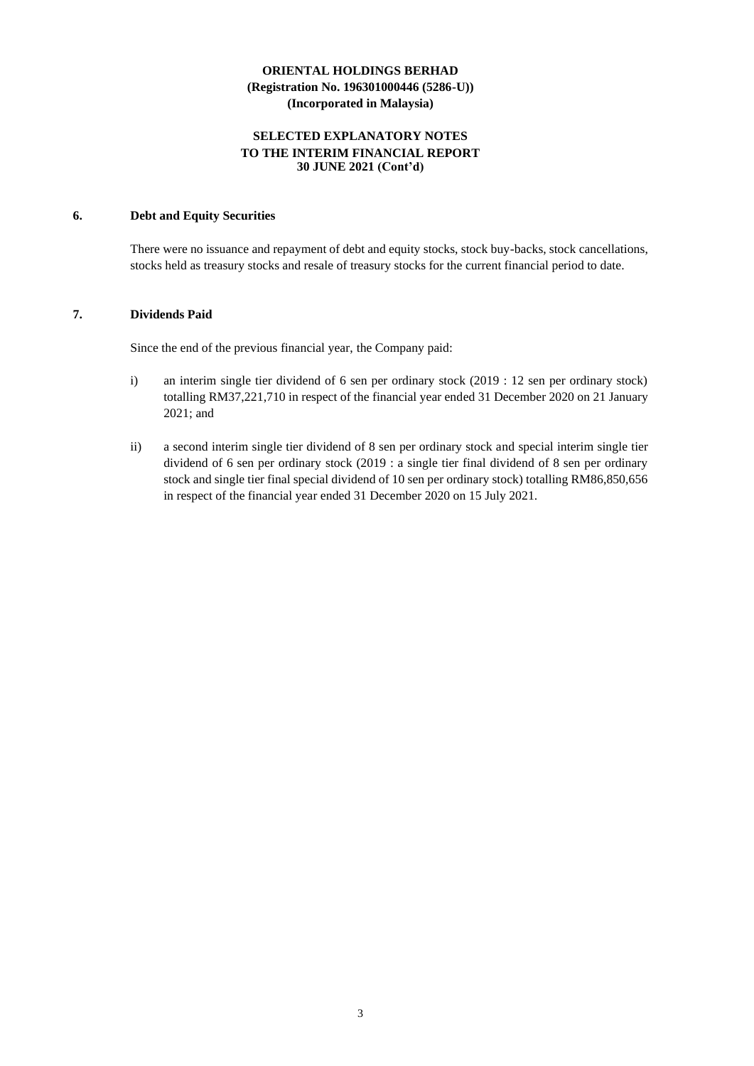## **SELECTED EXPLANATORY NOTES TO THE INTERIM FINANCIAL REPORT 30 JUNE 2021 (Cont'd)**

#### **6. Debt and Equity Securities**

There were no issuance and repayment of debt and equity stocks, stock buy-backs, stock cancellations, stocks held as treasury stocks and resale of treasury stocks for the current financial period to date.

## **7. Dividends Paid**

Since the end of the previous financial year, the Company paid:

- i) an interim single tier dividend of 6 sen per ordinary stock (2019 : 12 sen per ordinary stock) totalling RM37,221,710 in respect of the financial year ended 31 December 2020 on 21 January 2021; and
- ii) a second interim single tier dividend of 8 sen per ordinary stock and special interim single tier dividend of 6 sen per ordinary stock (2019 : a single tier final dividend of 8 sen per ordinary stock and single tier final special dividend of 10 sen per ordinary stock) totalling RM86,850,656 in respect of the financial year ended 31 December 2020 on 15 July 2021.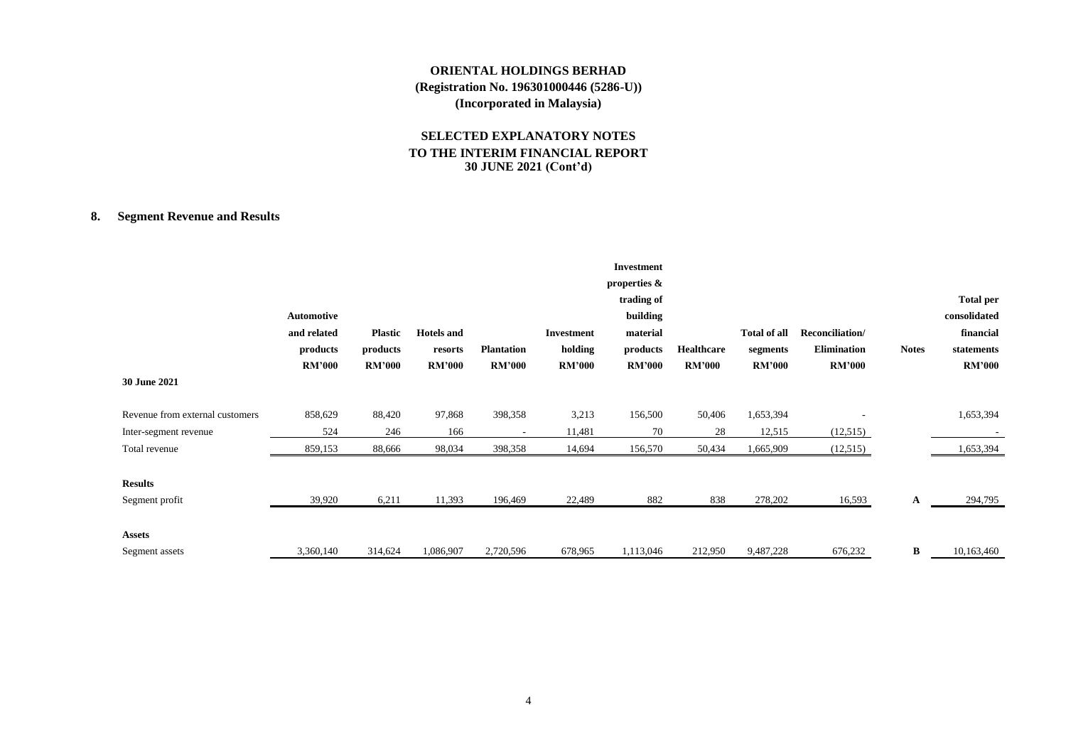## **SELECTED EXPLANATORY NOTES TO THE INTERIM FINANCIAL REPORT 30 JUNE 2021 (Cont'd)**

## **8. Segment Revenue and Results**

| 30 June 2021                    | Automotive<br>and related<br>products<br><b>RM'000</b> | <b>Plastic</b><br>products<br><b>RM'000</b> | <b>Hotels</b> and<br>resorts<br><b>RM'000</b> | <b>Plantation</b><br><b>RM'000</b> | Investment<br>holding<br><b>RM'000</b> | <b>Investment</b><br>properties $\&$<br>trading of<br>building<br>material<br>products<br><b>RM'000</b> | <b>Healthcare</b><br><b>RM'000</b> | Total of all<br>segments<br><b>RM'000</b> | Reconciliation/<br><b>Elimination</b><br><b>RM'000</b> | <b>Notes</b> | <b>Total per</b><br>consolidated<br>financial<br>statements<br><b>RM'000</b> |
|---------------------------------|--------------------------------------------------------|---------------------------------------------|-----------------------------------------------|------------------------------------|----------------------------------------|---------------------------------------------------------------------------------------------------------|------------------------------------|-------------------------------------------|--------------------------------------------------------|--------------|------------------------------------------------------------------------------|
| Revenue from external customers | 858,629                                                | 88,420                                      | 97,868                                        | 398,358                            | 3,213                                  | 156,500                                                                                                 | 50,406                             | 1,653,394                                 |                                                        |              | 1,653,394                                                                    |
| Inter-segment revenue           | 524                                                    | 246                                         | 166                                           | $\overline{\phantom{a}}$           | 11,481                                 | 70                                                                                                      | 28                                 | 12,515                                    | (12,515)                                               |              |                                                                              |
| Total revenue                   | 859,153                                                | 88,666                                      | 98,034                                        | 398,358                            | 14,694                                 | 156,570                                                                                                 | 50,434                             | 1,665,909                                 | (12,515)                                               |              | 1,653,394                                                                    |
| <b>Results</b>                  |                                                        |                                             |                                               |                                    |                                        |                                                                                                         |                                    |                                           |                                                        |              |                                                                              |
| Segment profit                  | 39,920                                                 | 6,211                                       | 11,393                                        | 196,469                            | 22,489                                 | 882                                                                                                     | 838                                | 278,202                                   | 16,593                                                 | A            | 294,795                                                                      |
| <b>Assets</b>                   |                                                        |                                             |                                               |                                    |                                        |                                                                                                         |                                    |                                           |                                                        |              |                                                                              |
| Segment assets                  | 3,360,140                                              | 314,624                                     | 1,086,907                                     | 2,720,596                          | 678,965                                | 1,113,046                                                                                               | 212,950                            | 9,487,228                                 | 676,232                                                | B            | 10,163,460                                                                   |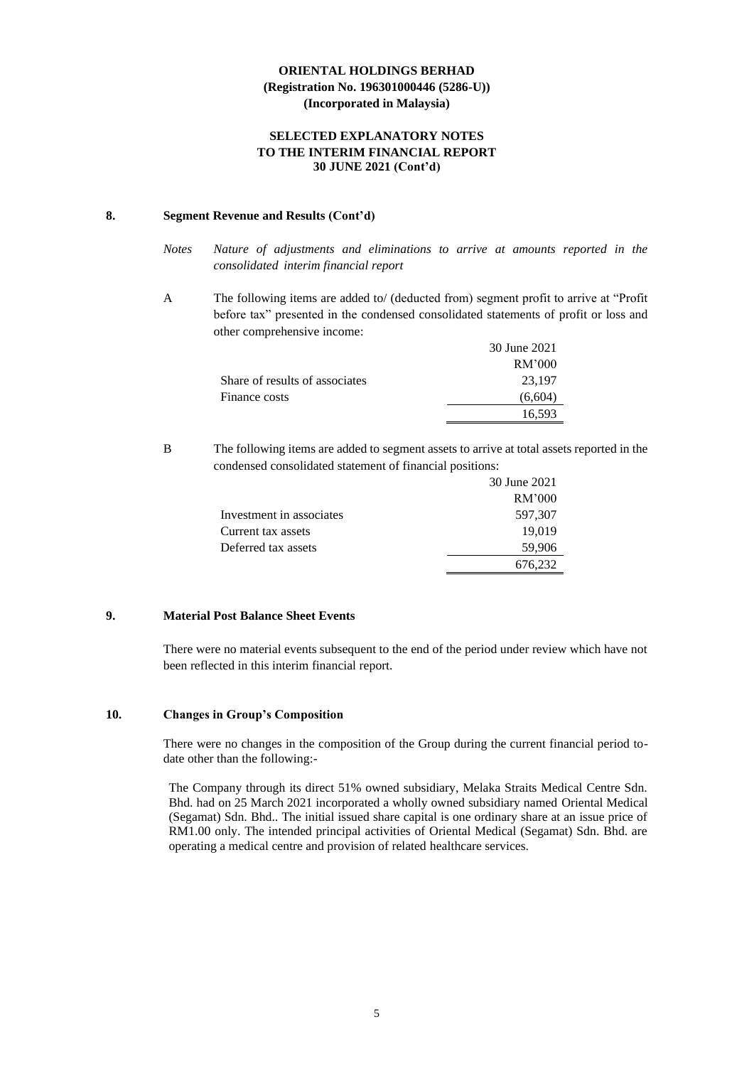## **SELECTED EXPLANATORY NOTES TO THE INTERIM FINANCIAL REPORT 30 JUNE 2021 (Cont'd)**

#### **8. Segment Revenue and Results (Cont'd)**

- *Notes Nature of adjustments and eliminations to arrive at amounts reported in the consolidated interim financial report*
- A The following items are added to/ (deducted from) segment profit to arrive at "Profit before tax" presented in the condensed consolidated statements of profit or loss and other comprehensive income:

|                                | 30 June 2021 |
|--------------------------------|--------------|
|                                | RM'000       |
| Share of results of associates | 23.197       |
| Finance costs                  | (6,604)      |
|                                | 16.593       |

B The following items are added to segment assets to arrive at total assets reported in the condensed consolidated statement of financial positions:

|                          | 30 June 2021 |
|--------------------------|--------------|
|                          | RM'000       |
| Investment in associates | 597,307      |
| Current tax assets       | 19,019       |
| Deferred tax assets      | 59,906       |
|                          | 676,232      |

## **9. Material Post Balance Sheet Events**

There were no material events subsequent to the end of the period under review which have not been reflected in this interim financial report.

## **10. Changes in Group's Composition**

There were no changes in the composition of the Group during the current financial period todate other than the following:-

The Company through its direct 51% owned subsidiary, Melaka Straits Medical Centre Sdn. Bhd. had on 25 March 2021 incorporated a wholly owned subsidiary named Oriental Medical (Segamat) Sdn. Bhd.. The initial issued share capital is one ordinary share at an issue price of RM1.00 only. The intended principal activities of Oriental Medical (Segamat) Sdn. Bhd. are operating a medical centre and provision of related healthcare services.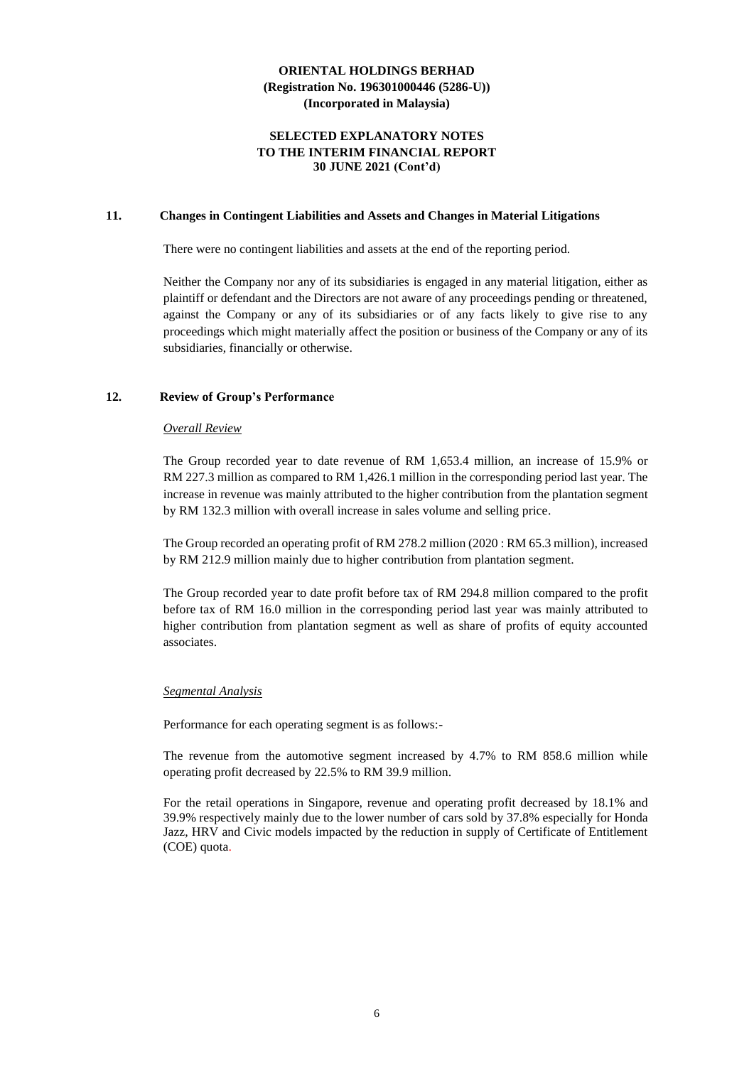#### **SELECTED EXPLANATORY NOTES TO THE INTERIM FINANCIAL REPORT 30 JUNE 2021 (Cont'd)**

#### **11. Changes in Contingent Liabilities and Assets and Changes in Material Litigations**

There were no contingent liabilities and assets at the end of the reporting period.

Neither the Company nor any of its subsidiaries is engaged in any material litigation, either as plaintiff or defendant and the Directors are not aware of any proceedings pending or threatened, against the Company or any of its subsidiaries or of any facts likely to give rise to any proceedings which might materially affect the position or business of the Company or any of its subsidiaries, financially or otherwise.

#### **12. Review of Group's Performance**

#### *Overall Review*

The Group recorded year to date revenue of RM 1,653.4 million, an increase of 15.9% or RM 227.3 million as compared to RM 1,426.1 million in the corresponding period last year. The increase in revenue was mainly attributed to the higher contribution from the plantation segment by RM 132.3 million with overall increase in sales volume and selling price.

The Group recorded an operating profit of RM 278.2 million (2020 : RM 65.3 million), increased by RM 212.9 million mainly due to higher contribution from plantation segment.

The Group recorded year to date profit before tax of RM 294.8 million compared to the profit before tax of RM 16.0 million in the corresponding period last year was mainly attributed to higher contribution from plantation segment as well as share of profits of equity accounted associates.

#### *Segmental Analysis*

Performance for each operating segment is as follows:-

The revenue from the automotive segment increased by 4.7% to RM 858.6 million while operating profit decreased by 22.5% to RM 39.9 million.

For the retail operations in Singapore, revenue and operating profit decreased by 18.1% and 39.9% respectively mainly due to the lower number of cars sold by 37.8% especially for Honda Jazz, HRV and Civic models impacted by the reduction in supply of Certificate of Entitlement (COE) quota.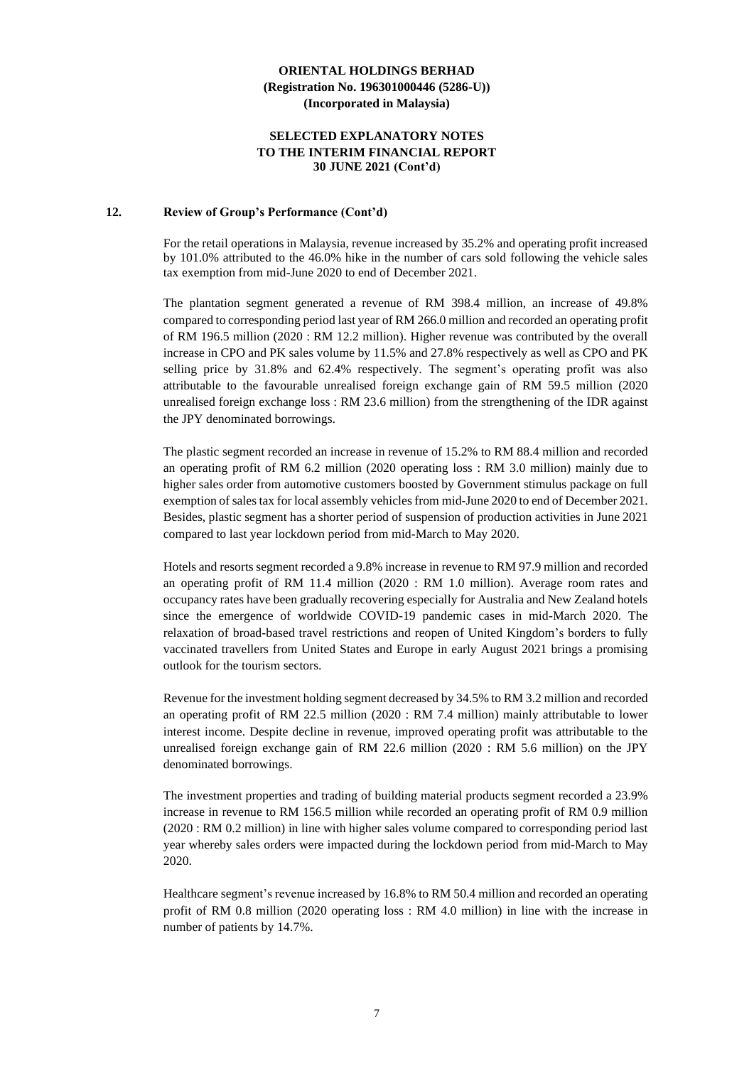#### **SELECTED EXPLANATORY NOTES TO THE INTERIM FINANCIAL REPORT 30 JUNE 2021 (Cont'd)**

#### **12. Review of Group's Performance (Cont'd)**

For the retail operations in Malaysia, revenue increased by 35.2% and operating profit increased by 101.0% attributed to the 46.0% hike in the number of cars sold following the vehicle sales tax exemption from mid-June 2020 to end of December 2021.

The plantation segment generated a revenue of RM 398.4 million, an increase of 49.8% compared to corresponding period last year of RM 266.0 million and recorded an operating profit of RM 196.5 million (2020 : RM 12.2 million). Higher revenue was contributed by the overall increase in CPO and PK sales volume by 11.5% and 27.8% respectively as well as CPO and PK selling price by 31.8% and 62.4% respectively. The segment's operating profit was also attributable to the favourable unrealised foreign exchange gain of RM 59.5 million (2020 unrealised foreign exchange loss : RM 23.6 million) from the strengthening of the IDR against the JPY denominated borrowings.

The plastic segment recorded an increase in revenue of 15.2% to RM 88.4 million and recorded an operating profit of RM 6.2 million (2020 operating loss : RM 3.0 million) mainly due to higher sales order from automotive customers boosted by Government stimulus package on full exemption of sales tax for local assembly vehicles from mid-June 2020 to end of December 2021. Besides, plastic segment has a shorter period of suspension of production activities in June 2021 compared to last year lockdown period from mid-March to May 2020.

Hotels and resorts segment recorded a 9.8% increase in revenue to RM 97.9 million and recorded an operating profit of RM 11.4 million (2020 : RM 1.0 million). Average room rates and occupancy rates have been gradually recovering especially for Australia and New Zealand hotels since the emergence of worldwide COVID-19 pandemic cases in mid-March 2020. The relaxation of broad-based travel restrictions and reopen of United Kingdom's borders to fully vaccinated travellers from United States and Europe in early August 2021 brings a promising outlook for the tourism sectors.

Revenue for the investment holding segment decreased by 34.5% to RM 3.2 million and recorded an operating profit of RM 22.5 million (2020 : RM 7.4 million) mainly attributable to lower interest income. Despite decline in revenue, improved operating profit was attributable to the unrealised foreign exchange gain of RM 22.6 million (2020 : RM 5.6 million) on the JPY denominated borrowings.

The investment properties and trading of building material products segment recorded a 23.9% increase in revenue to RM 156.5 million while recorded an operating profit of RM 0.9 million (2020 : RM 0.2 million) in line with higher sales volume compared to corresponding period last year whereby sales orders were impacted during the lockdown period from mid-March to May 2020.

Healthcare segment's revenue increased by 16.8% to RM 50.4 million and recorded an operating profit of RM 0.8 million (2020 operating loss : RM 4.0 million) in line with the increase in number of patients by 14.7%.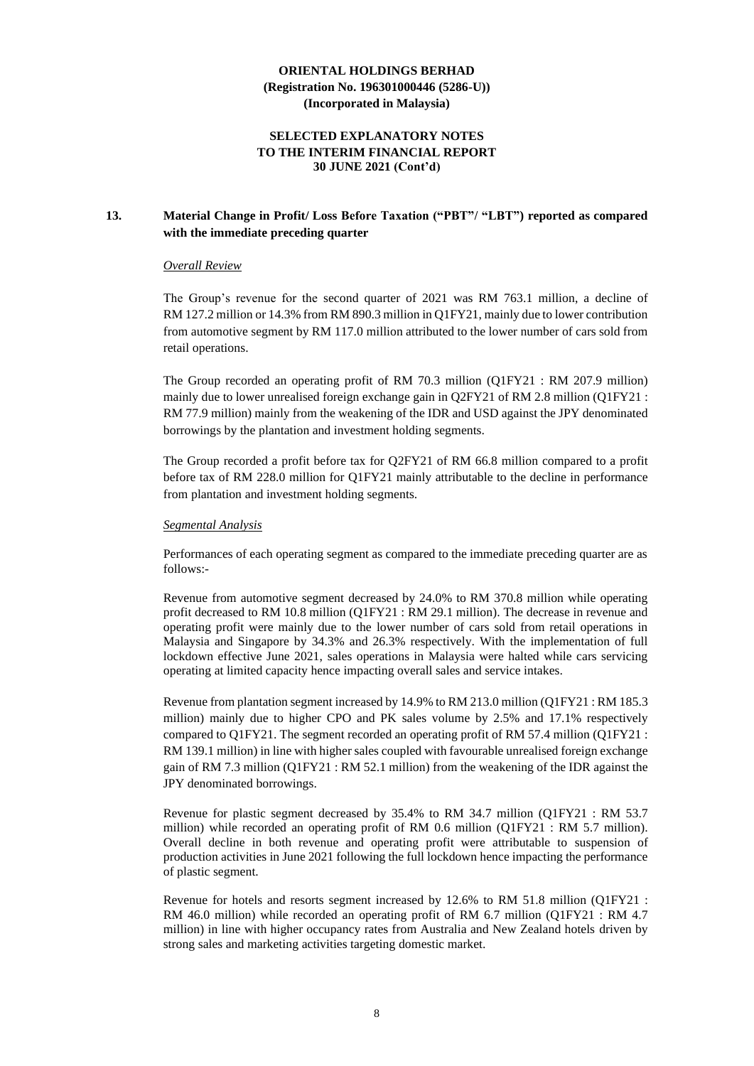## **SELECTED EXPLANATORY NOTES TO THE INTERIM FINANCIAL REPORT 30 JUNE 2021 (Cont'd)**

## **13. Material Change in Profit/ Loss Before Taxation ("PBT"/ "LBT") reported as compared with the immediate preceding quarter**

#### *Overall Review*

The Group's revenue for the second quarter of 2021 was RM 763.1 million, a decline of RM 127.2 million or 14.3% from RM 890.3 million in Q1FY21, mainly due to lower contribution from automotive segment by RM 117.0 million attributed to the lower number of cars sold from retail operations.

The Group recorded an operating profit of RM 70.3 million (Q1FY21 : RM 207.9 million) mainly due to lower unrealised foreign exchange gain in Q2FY21 of RM 2.8 million (Q1FY21 : RM 77.9 million) mainly from the weakening of the IDR and USD against the JPY denominated borrowings by the plantation and investment holding segments.

The Group recorded a profit before tax for Q2FY21 of RM 66.8 million compared to a profit before tax of RM 228.0 million for Q1FY21 mainly attributable to the decline in performance from plantation and investment holding segments.

#### *Segmental Analysis*

Performances of each operating segment as compared to the immediate preceding quarter are as follows:-

Revenue from automotive segment decreased by 24.0% to RM 370.8 million while operating profit decreased to RM 10.8 million (Q1FY21 : RM 29.1 million). The decrease in revenue and operating profit were mainly due to the lower number of cars sold from retail operations in Malaysia and Singapore by 34.3% and 26.3% respectively. With the implementation of full lockdown effective June 2021, sales operations in Malaysia were halted while cars servicing operating at limited capacity hence impacting overall sales and service intakes.

Revenue from plantation segment increased by 14.9% to RM 213.0 million (Q1FY21 : RM 185.3 million) mainly due to higher CPO and PK sales volume by 2.5% and 17.1% respectively compared to Q1FY21. The segment recorded an operating profit of RM 57.4 million (Q1FY21 : RM 139.1 million) in line with higher sales coupled with favourable unrealised foreign exchange gain of RM 7.3 million (Q1FY21 : RM 52.1 million) from the weakening of the IDR against the JPY denominated borrowings.

Revenue for plastic segment decreased by 35.4% to RM 34.7 million (Q1FY21 : RM 53.7 million) while recorded an operating profit of RM  $0.6$  million ( $OIFY21$  : RM  $5.7$  million). Overall decline in both revenue and operating profit were attributable to suspension of production activities in June 2021 following the full lockdown hence impacting the performance of plastic segment.

Revenue for hotels and resorts segment increased by 12.6% to RM 51.8 million (Q1FY21 : RM 46.0 million) while recorded an operating profit of RM 6.7 million (Q1FY21 : RM 4.7 million) in line with higher occupancy rates from Australia and New Zealand hotels driven by strong sales and marketing activities targeting domestic market.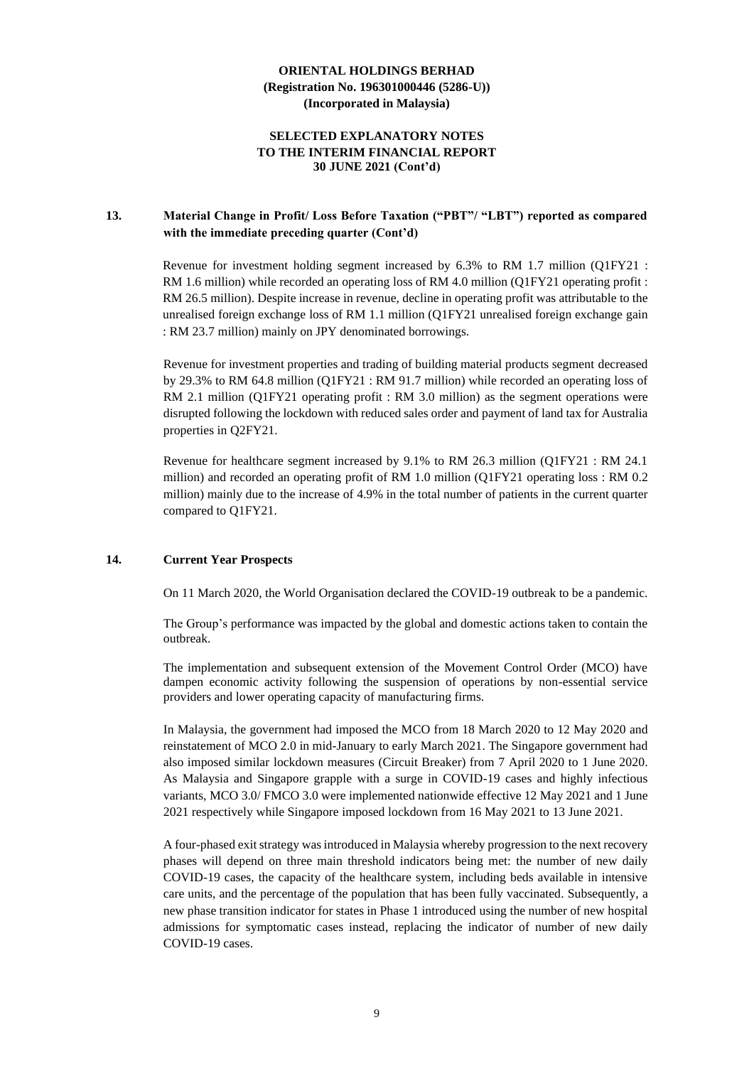## **SELECTED EXPLANATORY NOTES TO THE INTERIM FINANCIAL REPORT 30 JUNE 2021 (Cont'd)**

## **13. Material Change in Profit/ Loss Before Taxation ("PBT"/ "LBT") reported as compared with the immediate preceding quarter (Cont'd)**

Revenue for investment holding segment increased by 6.3% to RM 1.7 million (Q1FY21 : RM 1.6 million) while recorded an operating loss of RM 4.0 million (Q1FY21 operating profit : RM 26.5 million). Despite increase in revenue, decline in operating profit was attributable to the unrealised foreign exchange loss of RM 1.1 million (Q1FY21 unrealised foreign exchange gain : RM 23.7 million) mainly on JPY denominated borrowings.

Revenue for investment properties and trading of building material products segment decreased by 29.3% to RM 64.8 million (Q1FY21 : RM 91.7 million) while recorded an operating loss of RM 2.1 million (Q1FY21 operating profit : RM 3.0 million) as the segment operations were disrupted following the lockdown with reduced sales order and payment of land tax for Australia properties in Q2FY21.

Revenue for healthcare segment increased by 9.1% to RM 26.3 million (Q1FY21 : RM 24.1 million) and recorded an operating profit of RM 1.0 million (Q1FY21 operating loss : RM 0.2 million) mainly due to the increase of 4.9% in the total number of patients in the current quarter compared to Q1FY21.

#### **14. Current Year Prospects**

On 11 March 2020, the World Organisation declared the COVID-19 outbreak to be a pandemic.

The Group's performance was impacted by the global and domestic actions taken to contain the outbreak.

The implementation and subsequent extension of the Movement Control Order (MCO) have dampen economic activity following the suspension of operations by non-essential service providers and lower operating capacity of manufacturing firms.

In Malaysia, the government had imposed the MCO from 18 March 2020 to 12 May 2020 and reinstatement of MCO 2.0 in mid-January to early March 2021. The Singapore government had also imposed similar lockdown measures (Circuit Breaker) from 7 April 2020 to 1 June 2020. As Malaysia and Singapore grapple with a surge in COVID-19 cases and highly infectious variants, MCO 3.0/ FMCO 3.0 were implemented nationwide effective 12 May 2021 and 1 June 2021 respectively while Singapore imposed lockdown from 16 May 2021 to 13 June 2021.

A four-phased exit strategy was introduced in Malaysia whereby progression to the next recovery phases will depend on three main threshold indicators being met: the number of new daily COVID-19 cases, the capacity of the healthcare system, including beds available in intensive care units, and the percentage of the population that has been fully vaccinated. Subsequently, a new phase transition indicator for states in Phase 1 introduced using the number of new hospital admissions for symptomatic cases instead, replacing the indicator of number of new daily COVID-19 cases.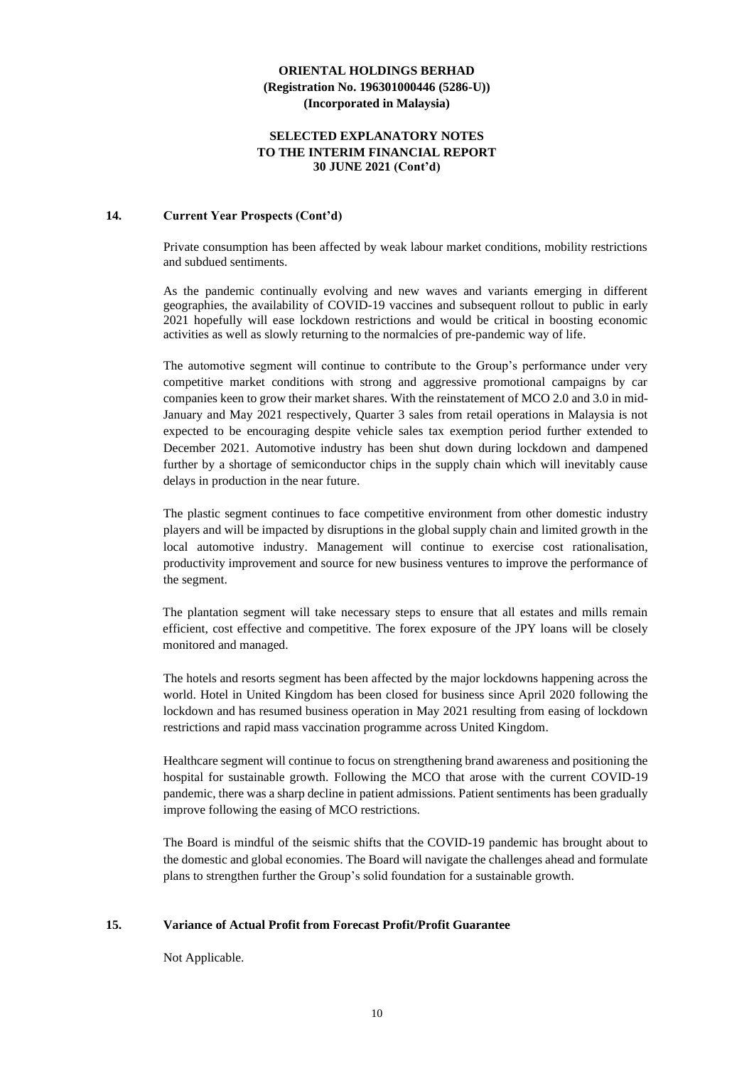#### **SELECTED EXPLANATORY NOTES TO THE INTERIM FINANCIAL REPORT 30 JUNE 2021 (Cont'd)**

#### **14. Current Year Prospects (Cont'd)**

Private consumption has been affected by weak labour market conditions, mobility restrictions and subdued sentiments.

As the pandemic continually evolving and new waves and variants emerging in different geographies, the availability of COVID-19 vaccines and subsequent rollout to public in early 2021 hopefully will ease lockdown restrictions and would be critical in boosting economic activities as well as slowly returning to the normalcies of pre-pandemic way of life.

The automotive segment will continue to contribute to the Group's performance under very competitive market conditions with strong and aggressive promotional campaigns by car companies keen to grow their market shares. With the reinstatement of MCO 2.0 and 3.0 in mid-January and May 2021 respectively, Quarter 3 sales from retail operations in Malaysia is not expected to be encouraging despite vehicle sales tax exemption period further extended to December 2021. Automotive industry has been shut down during lockdown and dampened further by a shortage of semiconductor chips in the supply chain which will inevitably cause delays in production in the near future.

The plastic segment continues to face competitive environment from other domestic industry players and will be impacted by disruptions in the global supply chain and limited growth in the local automotive industry. Management will continue to exercise cost rationalisation, productivity improvement and source for new business ventures to improve the performance of the segment.

The plantation segment will take necessary steps to ensure that all estates and mills remain efficient, cost effective and competitive. The forex exposure of the JPY loans will be closely monitored and managed.

The hotels and resorts segment has been affected by the major lockdowns happening across the world. Hotel in United Kingdom has been closed for business since April 2020 following the lockdown and has resumed business operation in May 2021 resulting from easing of lockdown restrictions and rapid mass vaccination programme across United Kingdom.

Healthcare segment will continue to focus on strengthening brand awareness and positioning the hospital for sustainable growth. Following the MCO that arose with the current COVID-19 pandemic, there was a sharp decline in patient admissions. Patient sentiments has been gradually improve following the easing of MCO restrictions.

The Board is mindful of the seismic shifts that the COVID-19 pandemic has brought about to the domestic and global economies. The Board will navigate the challenges ahead and formulate plans to strengthen further the Group's solid foundation for a sustainable growth.

#### **15. Variance of Actual Profit from Forecast Profit/Profit Guarantee**

Not Applicable.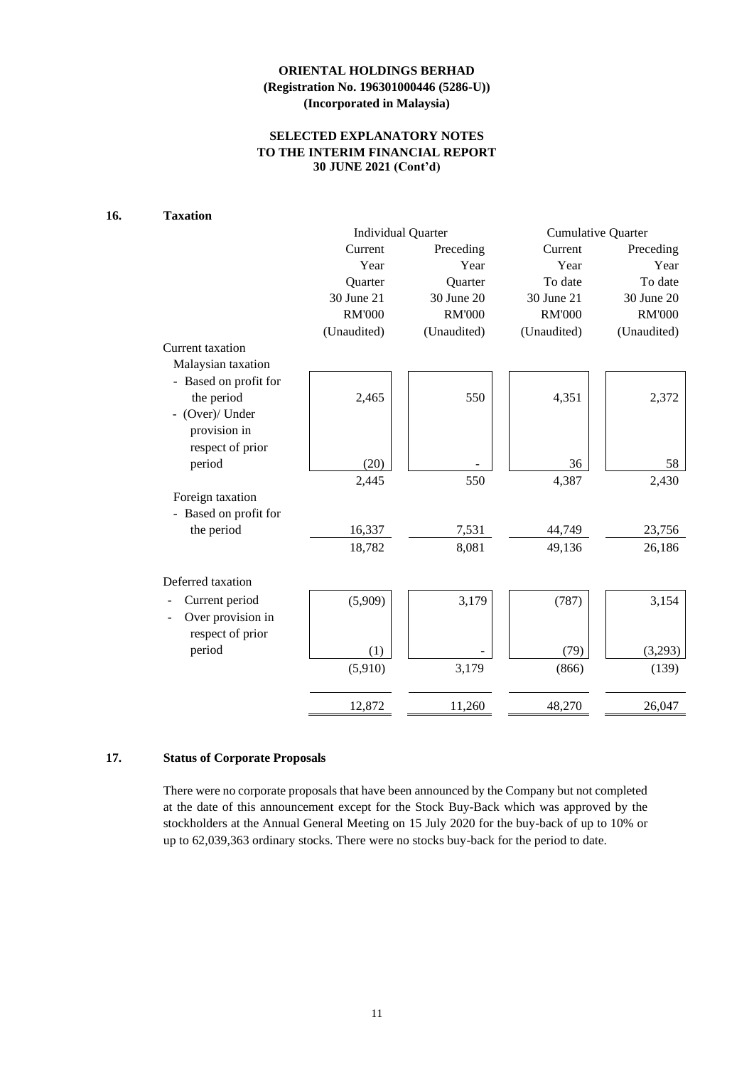## **SELECTED EXPLANATORY NOTES TO THE INTERIM FINANCIAL REPORT 30 JUNE 2021 (Cont'd)**

## **16. Taxation**

|                       | <b>Individual Quarter</b> |               | <b>Cumulative Quarter</b> |               |  |
|-----------------------|---------------------------|---------------|---------------------------|---------------|--|
|                       | Current                   | Preceding     | Current                   | Preceding     |  |
|                       | Year                      | Year          | Year                      | Year          |  |
|                       | Quarter                   | Quarter       | To date                   | To date       |  |
|                       | 30 June 21                | 30 June 20    | 30 June 21                | 30 June 20    |  |
|                       | <b>RM'000</b>             | <b>RM'000</b> | <b>RM'000</b>             | <b>RM'000</b> |  |
|                       | (Unaudited)               | (Unaudited)   | (Unaudited)               | (Unaudited)   |  |
| Current taxation      |                           |               |                           |               |  |
| Malaysian taxation    |                           |               |                           |               |  |
| - Based on profit for |                           |               |                           |               |  |
| the period            | 2,465                     | 550           | 4,351                     | 2,372         |  |
| - (Over)/ Under       |                           |               |                           |               |  |
| provision in          |                           |               |                           |               |  |
| respect of prior      |                           |               |                           |               |  |
| period                | (20)                      |               | 36                        | 58            |  |
|                       | 2,445                     | 550           | 4,387                     | 2,430         |  |
| Foreign taxation      |                           |               |                           |               |  |
| Based on profit for   |                           |               |                           |               |  |
| the period            | 16,337                    | 7,531         | 44,749                    | 23,756        |  |
|                       | 18,782                    | 8,081         | 49,136                    | 26,186        |  |
|                       |                           |               |                           |               |  |
| Deferred taxation     |                           |               |                           |               |  |
| Current period        | (5,909)                   | 3,179         | (787)                     | 3,154         |  |
| Over provision in     |                           |               |                           |               |  |
| respect of prior      |                           |               |                           |               |  |
| period                | (1)                       |               | (79)                      | (3,293)       |  |
|                       | (5,910)                   | 3,179         | (866)                     | (139)         |  |
|                       |                           |               |                           |               |  |
|                       |                           |               |                           |               |  |
|                       | 12,872                    | 11,260        | 48,270                    | 26,047        |  |

## **17. Status of Corporate Proposals**

There were no corporate proposals that have been announced by the Company but not completed at the date of this announcement except for the Stock Buy-Back which was approved by the stockholders at the Annual General Meeting on 15 July 2020 for the buy-back of up to 10% or up to 62,039,363 ordinary stocks. There were no stocks buy-back for the period to date.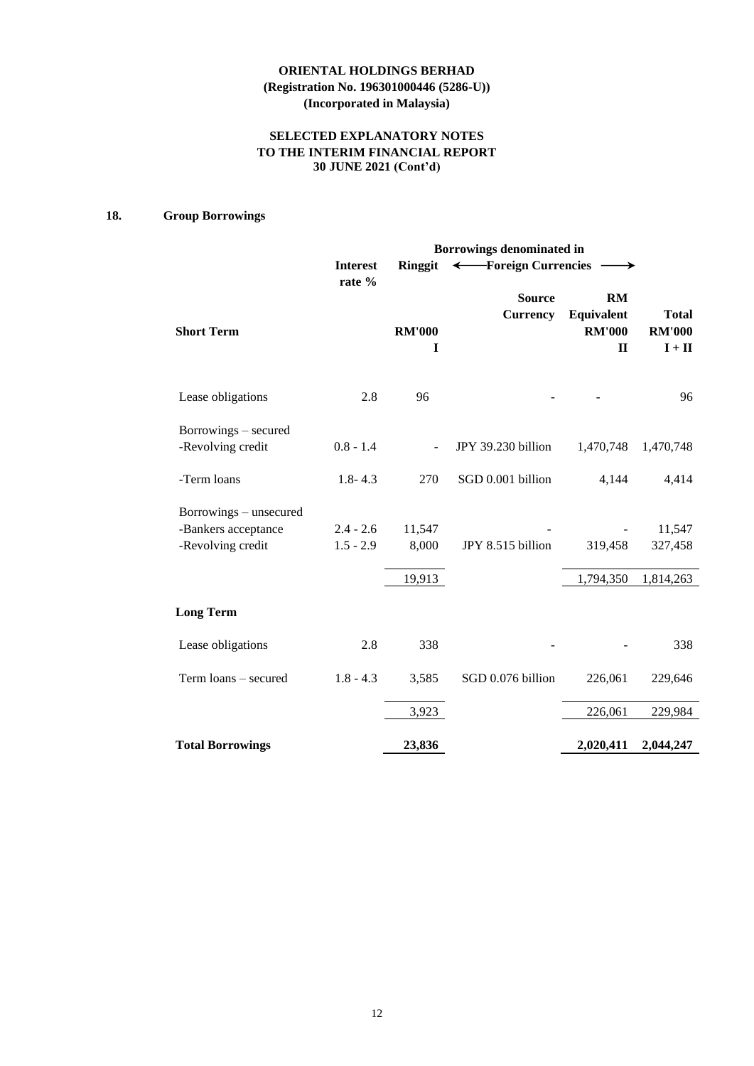## **SELECTED EXPLANATORY NOTES TO THE INTERIM FINANCIAL REPORT 30 JUNE 2021 (Cont'd)**

## **18. Group Borrowings**

| Borrowings denominated in                                          |                            |                    |                                  |                                                          |                                           |  |  |  |
|--------------------------------------------------------------------|----------------------------|--------------------|----------------------------------|----------------------------------------------------------|-------------------------------------------|--|--|--|
|                                                                    | <b>Interest</b><br>rate %  | <b>Ringgit</b>     | ← Foreign Currencies             |                                                          |                                           |  |  |  |
| <b>Short Term</b>                                                  |                            | <b>RM'000</b><br>1 | <b>Source</b><br><b>Currency</b> | <b>RM</b><br>Equivalent<br><b>RM'000</b><br>$\mathbf{I}$ | <b>Total</b><br><b>RM'000</b><br>$I + II$ |  |  |  |
| Lease obligations                                                  | 2.8                        | 96                 |                                  |                                                          | 96                                        |  |  |  |
| Borrowings – secured<br>-Revolving credit                          | $0.8 - 1.4$                |                    | JPY 39.230 billion               | 1,470,748                                                | 1,470,748                                 |  |  |  |
| -Term loans                                                        | $1.8 - 4.3$                | 270                | SGD 0.001 billion                | 4,144                                                    | 4,414                                     |  |  |  |
| Borrowings – unsecured<br>-Bankers acceptance<br>-Revolving credit | $2.4 - 2.6$<br>$1.5 - 2.9$ | 11,547<br>8,000    | JPY 8.515 billion                | 319,458                                                  | 11,547<br>327,458                         |  |  |  |
|                                                                    |                            | 19,913             |                                  | 1,794,350                                                | 1,814,263                                 |  |  |  |
| <b>Long Term</b>                                                   |                            |                    |                                  |                                                          |                                           |  |  |  |
| Lease obligations                                                  | 2.8                        | 338                |                                  |                                                          | 338                                       |  |  |  |
| Term loans - secured                                               | $1.8 - 4.3$                | 3,585              | SGD 0.076 billion                | 226,061                                                  | 229,646                                   |  |  |  |
|                                                                    |                            | 3,923              |                                  | 226,061                                                  | 229,984                                   |  |  |  |
| <b>Total Borrowings</b>                                            |                            | 23,836             |                                  | 2,020,411                                                | 2,044,247                                 |  |  |  |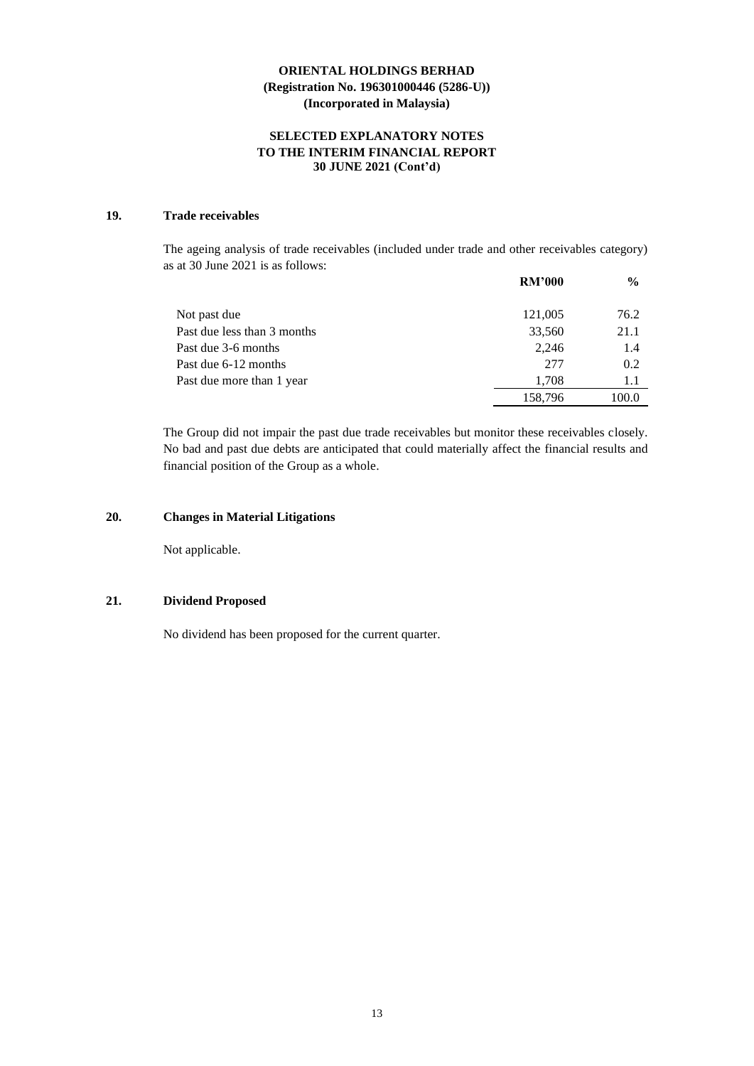## **SELECTED EXPLANATORY NOTES TO THE INTERIM FINANCIAL REPORT 30 JUNE 2021 (Cont'd)**

## **19. Trade receivables**

The ageing analysis of trade receivables (included under trade and other receivables category) as at 30 June 2021 is as follows:

|                             | <b>RM'000</b> | $\frac{6}{9}$ |
|-----------------------------|---------------|---------------|
| Not past due                | 121,005       | 76.2          |
| Past due less than 3 months | 33,560        | 21.1          |
| Past due 3-6 months         | 2.246         | 1.4           |
| Past due 6-12 months        | 277           | 0.2           |
| Past due more than 1 year   | 1.708         | 1.1           |
|                             | 158,796       | 100.0         |

The Group did not impair the past due trade receivables but monitor these receivables closely. No bad and past due debts are anticipated that could materially affect the financial results and financial position of the Group as a whole.

## **20. Changes in Material Litigations**

Not applicable.

#### **21. Dividend Proposed**

No dividend has been proposed for the current quarter.